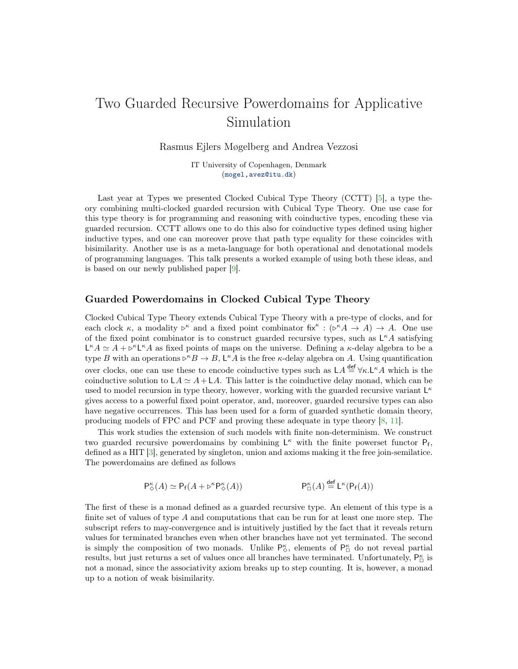# Two Guarded Recursive Powerdomains for Applicative Simulation

Rasmus Ejlers Møgelberg and Andrea Vezzosi

IT University of Copenhagen, Denmark ([mogel,avez@itu.dk](mogel, avez@itu.dk))

Last year at Types we presented Clocked Cubical Type Theory (CCTT) [\[5\]](#page-2-0), a type theory combining multi-clocked guarded recursion with Cubical Type Theory. One use case for this type theory is for programming and reasoning with coinductive types, encoding these via guarded recursion. CCTT allows one to do this also for coinductive types defined using higher inductive types, and one can moreover prove that path type equality for these coincides with bisimilarity. Another use is as a meta-language for both operational and denotational models of programming languages. This talk presents a worked example of using both these ideas, and is based on our newly published paper [\[9\]](#page-2-1).

### Guarded Powerdomains in Clocked Cubical Type Theory

Clocked Cubical Type Theory extends Cubical Type Theory with a pre-type of clocks, and for each clock  $\kappa$ , a modality  $\triangleright^{\kappa}$  and a fixed point combinator fix $^{\kappa} : (\triangleright^{\kappa} A \rightarrow A) \rightarrow A$ . One use of the fixed point combinator is to construct guarded recursive types, such as  $L^{\kappa}A$  satisfying  $\mathsf{L}^{\kappa}A \simeq A + \mathsf{L}^{\kappa}\mathsf{L}^{\kappa}A$  as fixed points of maps on the universe. Defining a  $\kappa$ -delay algebra to be a type B with an operations  $\triangleright^{\kappa} B \to B$ ,  $\mathsf{L}^{\kappa} A$  is the free  $\kappa$ -delay algebra on A. Using quantification over clocks, one can use these to encode coinductive types such as  $LA \stackrel{\text{def}}{=} \forall \kappa . L^{\kappa} A$  which is the coinductive solution to  $LA \simeq A + LA$ . This latter is the coinductive delay monad, which can be used to model recursion in type theory, however, working with the guarded recursive variant  $L^{\kappa}$ gives access to a powerful fixed point operator, and, moreover, guarded recursive types can also have negative occurrences. This has been used for a form of guarded synthetic domain theory, producing models of FPC and PCF and proving these adequate in type theory [\[8,](#page-2-2) [11\]](#page-2-3).

This work studies the extension of such models with finite non-determinism. We construct two guarded recursive powerdomains by combining  $L^{\kappa}$  with the finite powerset functor  $P_f$ , defined as a HIT [\[3\]](#page-2-4), generated by singleton, union and axioms making it the free join-semilatice. The powerdomains are defined as follows

$$
\mathsf{P}^\kappa_\Diamond(A) \simeq \mathsf{P}_{\mathsf{f}}(A + \triangleright^{\kappa} \mathsf{P}^\kappa_\Diamond(A)) \qquad \qquad \mathsf{P}^\kappa_\Box(A) \stackrel{\mathsf{def}}{=} \mathsf{L}^\kappa(\mathsf{P}_{\mathsf{f}}(A))
$$

The first of these is a monad defined as a guarded recursive type. An element of this type is a finite set of values of type A and computations that can be run for at least one more step. The subscript refers to may-convergence and is intuitively justified by the fact that it reveals return values for terminated branches even when other branches have not yet terminated. The second is simply the composition of two monads. Unlike  $P^{\kappa}_{\diamond}$ , elements of  $P^{\kappa}_{\Box}$  do not reveal partial results, but just returns a set of values once all branches have terminated. Unfortunately,  $P^{\kappa}_{\Box}$  is not a monad, since the associativity axiom breaks up to step counting. It is, however, a monad up to a notion of weak bisimilarity.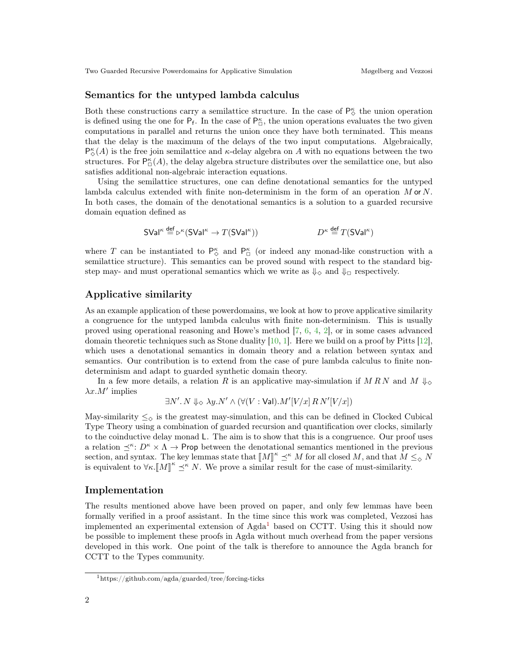Two Guarded Recursive Powerdomains for Applicative Simulation Møgelberg and Vezzosi

#### Semantics for the untyped lambda calculus

Both these constructions carry a semilattice structure. In the case of  $\mathsf{P}_\diamond^\kappa$  the union operation is defined using the one for  $P_f$ . In the case of  $P_{\Box}^{\kappa}$ , the union operations evaluates the two given computations in parallel and returns the union once they have both terminated. This means that the delay is the maximum of the delays of the two input computations. Algebraically,  $P^{\kappa}_{\diamondsuit}(A)$  is the free join semilattice and  $\kappa$ -delay algebra on A with no equations between the two structures. For  $P_{\Box}^{\kappa}(A)$ , the delay algebra structure distributes over the semilattice one, but also satisfies additional non-algebraic interaction equations.

Using the semilattice structures, one can define denotational semantics for the untyped lambda calculus extended with finite non-determinism in the form of an operation M or N. In both cases, the domain of the denotational semantics is a solution to a guarded recursive domain equation defined as

$$
SVal^{\kappa} \stackrel{\text{def}}{=} \triangleright^{\kappa} (SVal^{\kappa} \to T(SVal^{\kappa})) \qquad \qquad D^{\kappa} \stackrel{\text{def}}{=} T(SVal^{\kappa})
$$

where T can be instantiated to  $P^{\kappa}_{\diamond}$  and  $P^{\kappa}_{\Box}$  (or indeed any monad-like construction with a semilattice structure). This semantics can be proved sound with respect to the standard bigstep may- and must operational semantics which we write as  $\Downarrow_{\Diamond}$  and  $\Downarrow_{\Box}$  respectively.

## Applicative similarity

As an example application of these powerdomains, we look at how to prove applicative similarity a congruence for the untyped lambda calculus with finite non-determinism. This is usually proved using operational reasoning and Howe's method [\[7,](#page-2-5) [6,](#page-2-6) [4,](#page-2-7) [2\]](#page-2-8), or in some cases advanced domain theoretic techniques such as Stone duality  $[10, 1]$  $[10, 1]$  $[10, 1]$ . Here we build on a proof by Pitts  $[12]$ , which uses a denotational semantics in domain theory and a relation between syntax and semantics. Our contribution is to extend from the case of pure lambda calculus to finite nondeterminism and adapt to guarded synthetic domain theory.

In a few more details, a relation R is an applicative may-simulation if M RN and M  $\downarrow_{\diamond}$  $\lambda x.M'$  implies

$$
\exists N'.\ N\Downarrow_{\Diamond}\lambda y. N' \land (\forall (V:\mathsf{Val}).M'[V/x]\,R\,N'[V/x])
$$

May-similarity  $\leq_{\diamond}$  is the greatest may-simulation, and this can be defined in Clocked Cubical Type Theory using a combination of guarded recursion and quantification over clocks, similarly to the coinductive delay monad L. The aim is to show that this is a congruence. Our proof uses a relation  $\preceq^{\kappa}: D^{\kappa} \times \Lambda \to \mathsf{Prop}$  between the denotational semantics mentioned in the previous section, and syntax. The key lemmas state that  $[M]^{\kappa} \preceq^{\kappa} M$  for all closed M, and that  $M \leq_{\diamond} N$ <br>is equivalent to  $\forall \kappa \mathbb{N} M^{\kappa} \prec^{\kappa} N$ . We prove a similar result for the asses of must similarity. is equivalent to  $\forall \kappa. [M]^{\kappa} \preceq^{\kappa} N$ . We prove a similar result for the case of must-similarity.

#### Implementation

The results mentioned above have been proved on paper, and only few lemmas have been formally verified in a proof assistant. In the time since this work was completed, Vezzosi has implemented an experimental extension of  $Agda<sup>1</sup>$  $Agda<sup>1</sup>$  $Agda<sup>1</sup>$  based on CCTT. Using this it should now be possible to implement these proofs in Agda without much overhead from the paper versions developed in this work. One point of the talk is therefore to announce the Agda branch for CCTT to the Types community.

<span id="page-1-0"></span><sup>1</sup>https://github.com/agda/guarded/tree/forcing-ticks